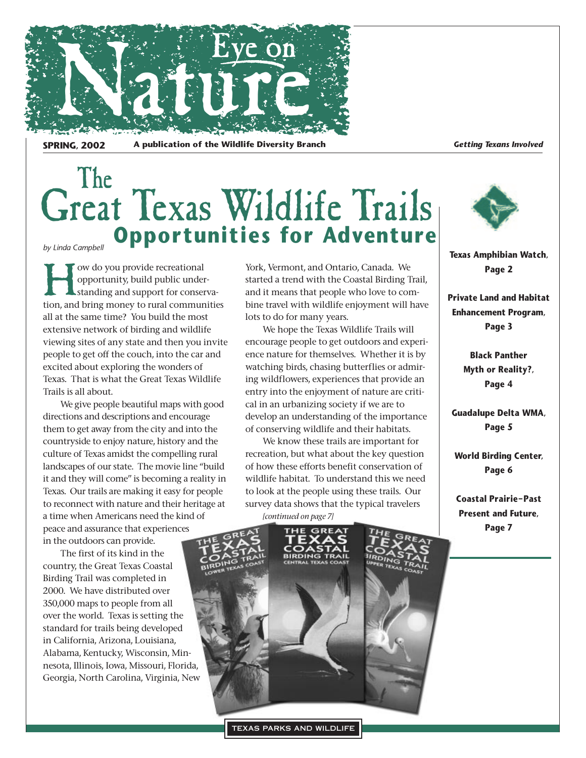

**SPRING, 2002** A publication of the Wildlife Diversity Branch *Getting Texans Involved* 

### Great Texas Wildlife Trails *by Linda Campbell*</sub> **Opportunities for Adventure** The

ow do you provide recreational opportunity, build public understanding and support for conservation, and bring money to rural communities all at the same time? You build the most extensive network of birding and wildlife viewing sites of any state and then you invite people to get off the couch, into the car and excited about exploring the wonders of Texas. That is what the Great Texas Wildlife Trails is all about.

We give people beautiful maps with good directions and descriptions and encourage them to get away from the city and into the countryside to enjoy nature, history and the culture of Texas amidst the compelling rural landscapes of our state. The movie line "build it and they will come" is becoming a reality in Texas. Our trails are making it easy for people to reconnect with nature and their heritage at a time when Americans need the kind of peace and assurance that experiences in the outdoors can provide.

The first of its kind in the country, the Great Texas Coastal Birding Trail was completed in 2000. We have distributed over 350,000 maps to people from all over the world. Texas is setting the standard for trails being developed in California, Arizona, Louisiana, Alabama, Kentucky, Wisconsin, Minnesota, Illinois, Iowa, Missouri, Florida, Georgia, North Carolina, Virginia, New York, Vermont, and Ontario, Canada. We started a trend with the Coastal Birding Trail, and it means that people who love to combine travel with wildlife enjoyment will have lots to do for many years.

We hope the Texas Wildlife Trails will encourage people to get outdoors and experience nature for themselves. Whether it is by watching birds, chasing butterflies or admiring wildflowers, experiences that provide an entry into the enjoyment of nature are critical in an urbanizing society if we are to develop an understanding of the importance of conserving wildlife and their habitats.

We know these trails are important for recreation, but what about the key question of how these efforts benefit conservation of wildlife habitat. To understand this we need to look at the people using these trails. Our survey data shows that the typical travelers

*[continued on page 7]*





**Texas Amphibian Watch, Page 2**

**Private Land and Habitat Enhancement Program, Page 3**

> **Black Panther Myth or Reality?, Page 4**

**Guadalupe Delta WMA, Page 5**

**World Birding Center, Page 6**

**Coastal Prairie–Past Present and Future, Page 7**

TEXAS PARKS AND WILDLIFE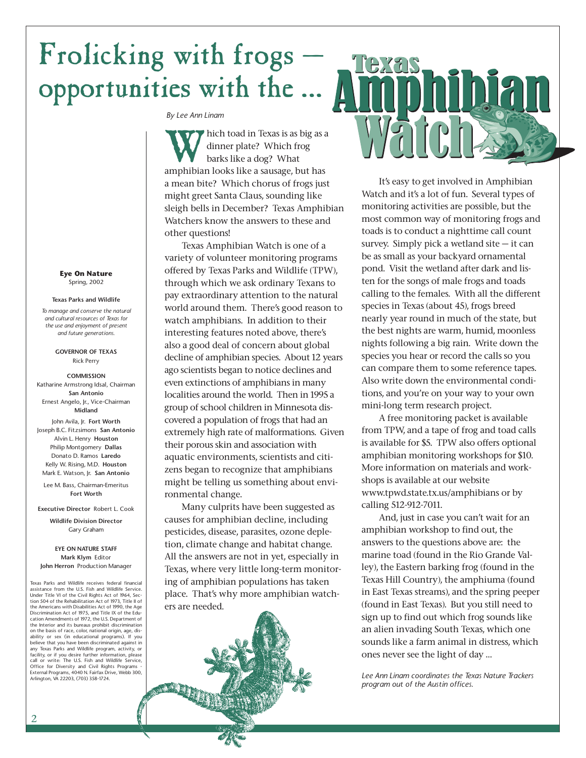## Frolicking with frogs opportunities with the …

*By Lee Ann Linam*

hich toad in Texas is as big as a dinner plate? Which frog barks like a dog? What amphibian looks like a sausage, but has a mean bite? Which chorus of frogs just might greet Santa Claus, sounding like sleigh bells in December? Texas Amphibian Watchers know the answers to these and other questions!

Texas Amphibian Watch is one of a variety of volunteer monitoring programs offered by Texas Parks and Wildlife (TPW), through which we ask ordinary Texans to pay extraordinary attention to the natural world around them. There's good reason to watch amphibians. In addition to their interesting features noted above, there's also a good deal of concern about global decline of amphibian species. About 12 years ago scientists began to notice declines and even extinctions of amphibians in many localities around the world. Then in 1995 a group of school children in Minnesota discovered a population of frogs that had an extremely high rate of malformations. Given their porous skin and association with aquatic environments, scientists and citizens began to recognize that amphibians might be telling us something about environmental change.

Many culprits have been suggested as causes for amphibian decline, including pesticides, disease, parasites, ozone depletion, climate change and habitat change. All the answers are not in yet, especially in Texas, where very little long-term monitoring of amphibian populations has taken place. That's why more amphibian watchers are needed.



It's easy to get involved in Amphibian Watch and it's a lot of fun. Several types of monitoring activities are possible, but the most common way of monitoring frogs and toads is to conduct a nighttime call count survey. Simply pick a wetland site  $-$  it can be as small as your backyard ornamental pond. Visit the wetland after dark and listen for the songs of male frogs and toads calling to the females. With all the different species in Texas (about 45), frogs breed nearly year round in much of the state, but the best nights are warm, humid, moonless nights following a big rain. Write down the species you hear or record the calls so you can compare them to some reference tapes. Also write down the environmental conditions, and you're on your way to your own mini-long term research project.

A free monitoring packet is available from TPW, and a tape of frog and toad calls is available for \$5. TPW also offers optional amphibian monitoring workshops for \$10. More information on materials and workshops is available at our website www.tpwd.state.tx.us/amphibians or by calling 512-912-7011.

And, just in case you can't wait for an amphibian workshop to find out, the answers to the questions above are: the marine toad (found in the Rio Grande Valley), the Eastern barking frog (found in the Texas Hill Country), the amphiuma (found in East Texas streams), and the spring peeper (found in East Texas). But you still need to sign up to find out which frog sounds like an alien invading South Texas, which one sounds like a farm animal in distress, which ones never see the light of day …

*Lee Ann Linam coordinates the Texas Nature Trackers program out of the Austin offices.*

**Eye On Nature** Spring, 2002

#### **Texas Parks and Wildlife**

*To manage and conserve the natural and cultural resources of Texas for the use and enjoyment of present and future generations.*

> **GOVERNOR OF TEXAS** Rick Perry

**COMMISSION** Katharine Armstrong Idsal, Chairman **San Antonio** Ernest Angelo, Jr., Vice-Chairman **Midland**

John Avila, Jr. **Fort Worth** Joseph B.C. Fitzsimons **San Antonio** Alvin L. Henry **Houston** Philip Montgomery **Dallas** Donato D. Ramos **Laredo** Kelly W. Rising, M.D. **Houston** Mark E. Watson, Jr. **San Antonio**

Lee M. Bass, Chairman-Emeritus **Fort Worth**

**Executive Director** Robert L. Cook

**Wildlife Division Director** Gary Graham

**EYE ON NATURE STAFF Mark Klym** Editor **John Herron** Production Manager

Texas Parks and Wildlife receives federal financial assistance from the U.S. Fish and Wildlife Service. Under Title VI of the Civil Rights Act of 1964, Sec-tion 504 of the Rehabilitation Act of 1973, Title II of the Americans with Disabilities Act of 1990, the Age Discrimination Act of 1975, and Title IX of the Edu-cation Amendments of 1972, the U.S. Department of the Interior and its bureaus prohibit discrimination on the basis of race, color, national origin, age, disability or sex (in educational programs). If you believe that you have been discriminated against in any Texas Parks and Wildlife program, activity, or facility, or if you desire further information, please call or write: The U.S. Fish and Wildlife Service, Office for Diversity and Civil Rights Programs - External Programs, 4040 N. Fairfax Drive, Webb 300, Arlington, VA 22203, (703) 358-1724.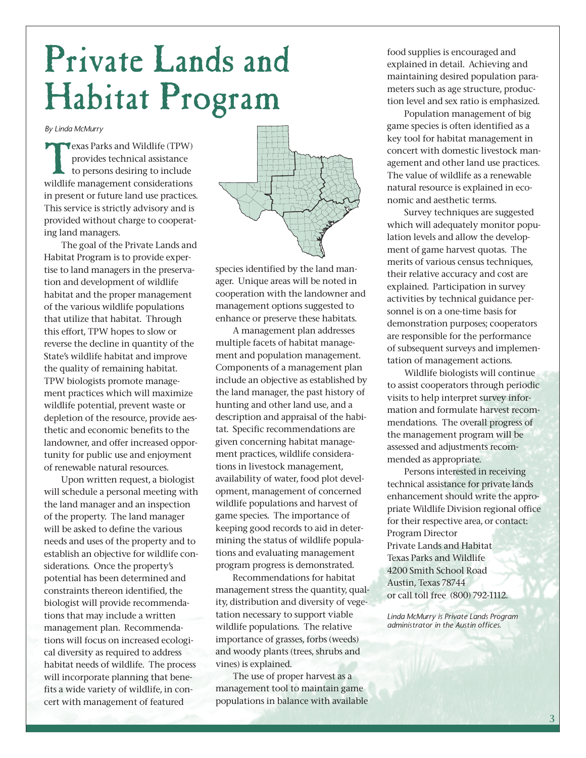# Private Lands and Habitat Program

*By Linda McMurry*

Texas Parks and Wildlife (TPW)<br>provides technical assistance<br>to persons desiring to include<br>wildlife management considerations provides technical assistance to persons desiring to include wildlife management considerations in present or future land use practices. This service is strictly advisory and is provided without charge to cooperating land managers.

The goal of the Private Lands and Habitat Program is to provide expertise to land managers in the preservation and development of wildlife habitat and the proper management of the various wildlife populations that utilize that habitat. Through this effort, TPW hopes to slow or reverse the decline in quantity of the State's wildlife habitat and improve the quality of remaining habitat. TPW biologists promote management practices which will maximize wildlife potential, prevent waste or depletion of the resource, provide aesthetic and economic benefits to the landowner, and offer increased opportunity for public use and enjoyment of renewable natural resources.

Upon written request, a biologist will schedule a personal meeting with the land manager and an inspection of the property. The land manager will be asked to define the various needs and uses of the property and to establish an objective for wildlife considerations. Once the property's potential has been determined and constraints thereon identified, the biologist will provide recommendations that may include a written management plan. Recommendations will focus on increased ecological diversity as required to address habitat needs of wildlife. The process will incorporate planning that benefits a wide variety of wildlife, in concert with management of featured



species identified by the land manager. Unique areas will be noted in cooperation with the landowner and management options suggested to enhance or preserve these habitats.

A management plan addresses multiple facets of habitat management and population management. Components of a management plan include an objective as established by the land manager, the past history of hunting and other land use, and a description and appraisal of the habitat. Specific recommendations are given concerning habitat management practices, wildlife considerations in livestock management, availability of water, food plot development, management of concerned wildlife populations and harvest of game species. The importance of keeping good records to aid in determining the status of wildlife populations and evaluating management program progress is demonstrated.

Recommendations for habitat management stress the quantity, quality, distribution and diversity of vegetation necessary to support viable wildlife populations. The relative importance of grasses, forbs (weeds) and woody plants (trees, shrubs and vines) is explained.

The use of proper harvest as a management tool to maintain game populations in balance with available food supplies is encouraged and explained in detail. Achieving and maintaining desired population parameters such as age structure, production level and sex ratio is emphasized.

Population management of big game species is often identified as a key tool for habitat management in concert with domestic livestock management and other land use practices. The value of wildlife as a renewable natural resource is explained in economic and aesthetic terms.

Survey techniques are suggested which will adequately monitor population levels and allow the development of game harvest quotas. The merits of various census techniques, their relative accuracy and cost are explained. Participation in survey activities by technical guidance personnel is on a one-time basis for demonstration purposes; cooperators are responsible for the performance of subsequent surveys and implementation of management actions.

Wildlife biologists will continue to assist cooperators through periodic visits to help interpret survey information and formulate harvest recommendations. The overall progress of the management program will be assessed and adjustments recommended as appropriate.

Persons interested in receiving technical assistance for private lands enhancement should write the appropriate Wildlife Division regional office for their respective area, or contact: Program Director Private Lands and Habitat Texas Parks and Wildlife 4200 Smith School Road Austin, Texas 78744 or call toll free (800) 792-1112.

*Linda McMurry is Private Lands Program administrator in the Austin offices.*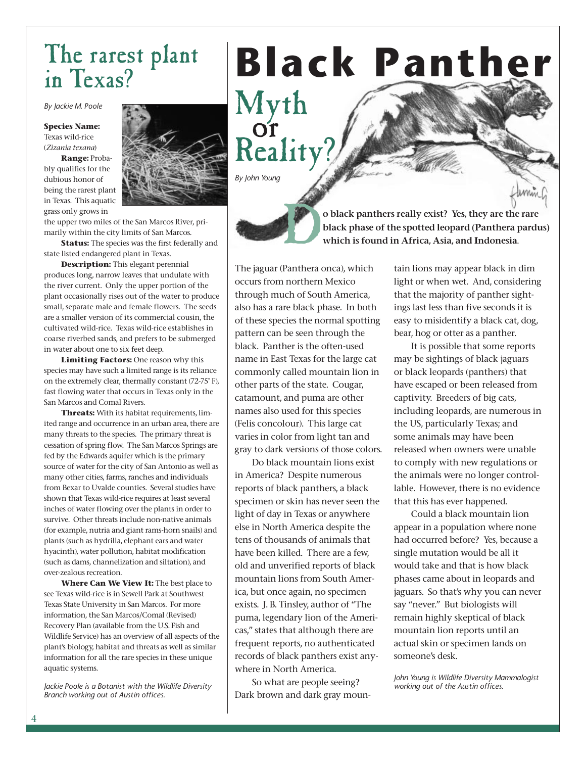### The rarest plant in Texas?

*By Jackie M. Poole*

**Species Name:** Texas wild-rice (*Zizania texana*)

**Range:** Probably qualifies for the dubious honor of being the rarest plant in Texas. This aquatic grass only grows in



the upper two miles of the San Marcos River, primarily within the city limits of San Marcos.

**Status:** The species was the first federally and state listed endangered plant in Texas.

**Description:** This elegant perennial produces long, narrow leaves that undulate with the river current. Only the upper portion of the plant occasionally rises out of the water to produce small, separate male and female flowers. The seeds are a smaller version of its commercial cousin, the cultivated wild-rice. Texas wild-rice establishes in coarse riverbed sands, and prefers to be submerged in water about one to six feet deep.

**Limiting Factors:** One reason why this species may have such a limited range is its reliance on the extremely clear, thermally constant (72-75° F), fast flowing water that occurs in Texas only in the San Marcos and Comal Rivers.

**Threats:** With its habitat requirements, limited range and occurrence in an urban area, there are many threats to the species. The primary threat is cessation of spring flow. The San Marcos Springs are fed by the Edwards aquifer which is the primary source of water for the city of San Antonio as well as many other cities, farms, ranches and individuals from Bexar to Uvalde counties. Several studies have shown that Texas wild-rice requires at least several inches of water flowing over the plants in order to survive. Other threats include non-native animals (for example, nutria and giant rams-horn snails) and plants (such as hydrilla, elephant ears and water hyacinth), water pollution, habitat modification (such as dams, channelization and siltation), and over-zealous recreation.

**Where Can We View It:** The best place to see Texas wild-rice is in Sewell Park at Southwest Texas State University in San Marcos. For more information, the San Marcos/Comal (Revised) Recovery Plan (available from the U.S. Fish and Wildlife Service) has an overview of all aspects of the plant's biology, habitat and threats as well as similar information for all the rare species in these unique aquatic systems.

*Jackie Poole is a Botanist with the Wildlife Diversity Branch working out of Austin offices.*

# **Black Panther**

Myth Reality? or

*By John Young*

D**o black panthers really exist? Yes, they are the rare black phase of the spotted leopard (Panthera pardus) which is found in Africa, Asia, and Indonesia.** 

The jaguar (Panthera onca), which occurs from northern Mexico through much of South America, also has a rare black phase. In both of these species the normal spotting pattern can be seen through the black. Panther is the often-used name in East Texas for the large cat commonly called mountain lion in other parts of the state. Cougar, catamount, and puma are other names also used for this species (Felis concolour). This large cat varies in color from light tan and gray to dark versions of those colors.

Do black mountain lions exist in America? Despite numerous reports of black panthers, a black specimen or skin has never seen the light of day in Texas or anywhere else in North America despite the tens of thousands of animals that have been killed. There are a few, old and unverified reports of black mountain lions from South America, but once again, no specimen exists. J. B. Tinsley, author of "The puma, legendary lion of the Americas," states that although there are frequent reports, no authenticated records of black panthers exist anywhere in North America.

So what are people seeing? Dark brown and dark gray mountain lions may appear black in dim light or when wet. And, considering that the majority of panther sightings last less than five seconds it is easy to misidentify a black cat, dog, bear, hog or otter as a panther.

It is possible that some reports may be sightings of black jaguars or black leopards (panthers) that have escaped or been released from captivity. Breeders of big cats, including leopards, are numerous in the US, particularly Texas; and some animals may have been released when owners were unable to comply with new regulations or the animals were no longer controllable. However, there is no evidence that this has ever happened.

Could a black mountain lion appear in a population where none had occurred before? Yes, because a single mutation would be all it would take and that is how black phases came about in leopards and jaguars. So that's why you can never say "never." But biologists will remain highly skeptical of black mountain lion reports until an actual skin or specimen lands on someone's desk.

*John Young is Wildlife Diversity Mammalogist working out of the Austin offices.*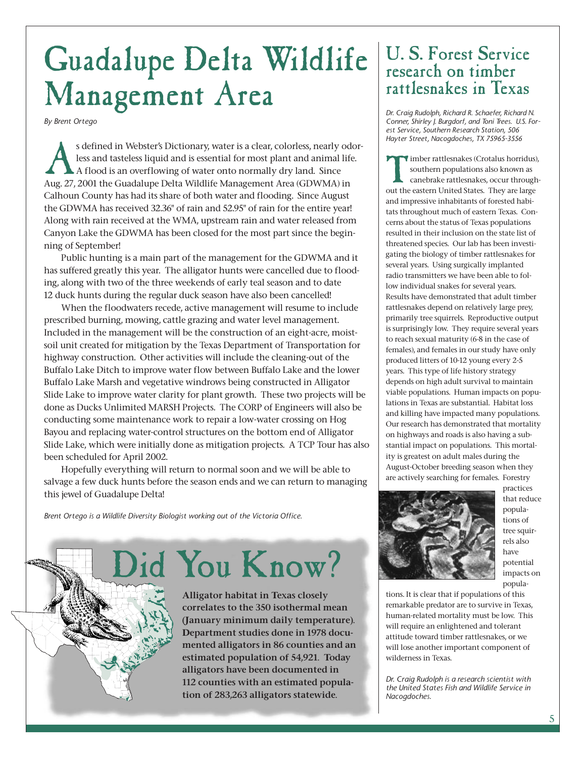## Guadalupe Delta Wildlife U.S. Forest Service Management Area

*By Brent Ortego*

s defined in Webster's Dictionary, water is a clear, colorless, nearly odor-<br>less and tasteless liquid and is essential for most plant and animal life.<br>A flood is an overflowing of water onto normally dry land. Since<br>Aug 2 less and tasteless liquid and is essential for most plant and animal life. A flood is an overflowing of water onto normally dry land. Since Aug. 27, 2001 the Guadalupe Delta Wildlife Management Area (GDWMA) in Calhoun County has had its share of both water and flooding. Since August the GDWMA has received 32.36" of rain and 52.95" of rain for the entire year! Along with rain received at the WMA, upstream rain and water released from Canyon Lake the GDWMA has been closed for the most part since the beginning of September!

Public hunting is a main part of the management for the GDWMA and it has suffered greatly this year. The alligator hunts were cancelled due to flooding, along with two of the three weekends of early teal season and to date 12 duck hunts during the regular duck season have also been cancelled!

When the floodwaters recede, active management will resume to include prescribed burning, mowing, cattle grazing and water level management. Included in the management will be the construction of an eight-acre, moistsoil unit created for mitigation by the Texas Department of Transportation for highway construction. Other activities will include the cleaning-out of the Buffalo Lake Ditch to improve water flow between Buffalo Lake and the lower Buffalo Lake Marsh and vegetative windrows being constructed in Alligator Slide Lake to improve water clarity for plant growth. These two projects will be done as Ducks Unlimited MARSH Projects. The CORP of Engineers will also be conducting some maintenance work to repair a low-water crossing on Hog Bayou and replacing water-control structures on the bottom end of Alligator Slide Lake, which were initially done as mitigation projects. A TCP Tour has also been scheduled for April 2002.

Hopefully everything will return to normal soon and we will be able to salvage a few duck hunts before the season ends and we can return to managing this jewel of Guadalupe Delta!

*Brent Ortego is a Wildlife Diversity Biologist working out of the Victoria Office.*

Did You Know?

**Alligator habitat in Texas closely correlates to the 350 isothermal mean (January minimum daily temperature). Department studies done in 1978 documented alligators in 86 counties and an estimated population of 54,921. Today alligators have been documented in 112 counties with an estimated population of 283,263 alligators statewide.**

### research on timber rattlesnakes in Texas

*Dr. Craig Rudolph, Richard R. Schaefer, Richard N. Conner, Shirley J. Burgdorf, and Toni Trees. U.S. Forest Service, Southern Research Station, 506 Hayter Street, Nacogdoches, TX 75965-3556*

Timber rattlesnakes (Crotalus horridus), southern populations also known as canebrake rattlesnakes, occur throughout the eastern United States. They are large and impressive inhabitants of forested habitats throughout much of eastern Texas. Concerns about the status of Texas populations resulted in their inclusion on the state list of threatened species. Our lab has been investigating the biology of timber rattlesnakes for several years. Using surgically implanted radio transmitters we have been able to follow individual snakes for several years. Results have demonstrated that adult timber rattlesnakes depend on relatively large prey, primarily tree squirrels. Reproductive output is surprisingly low. They require several years to reach sexual maturity (6-8 in the case of females), and females in our study have only produced litters of 10-12 young every 2-5 years. This type of life history strategy depends on high adult survival to maintain viable populations. Human impacts on populations in Texas are substantial. Habitat loss and killing have impacted many populations. Our research has demonstrated that mortality on highways and roads is also having a substantial impact on populations. This mortality is greatest on adult males during the August-October breeding season when they are actively searching for females. Forestry



practices that reduce populations of tree squirrels also have potential impacts on popula-

tions. It is clear that if populations of this remarkable predator are to survive in Texas, human-related mortality must be low. This will require an enlightened and tolerant attitude toward timber rattlesnakes, or we will lose another important component of wilderness in Texas.

*Dr. Craig Rudolph is a research scientist with the United States Fish and Wildlife Service in Nacogdoches.*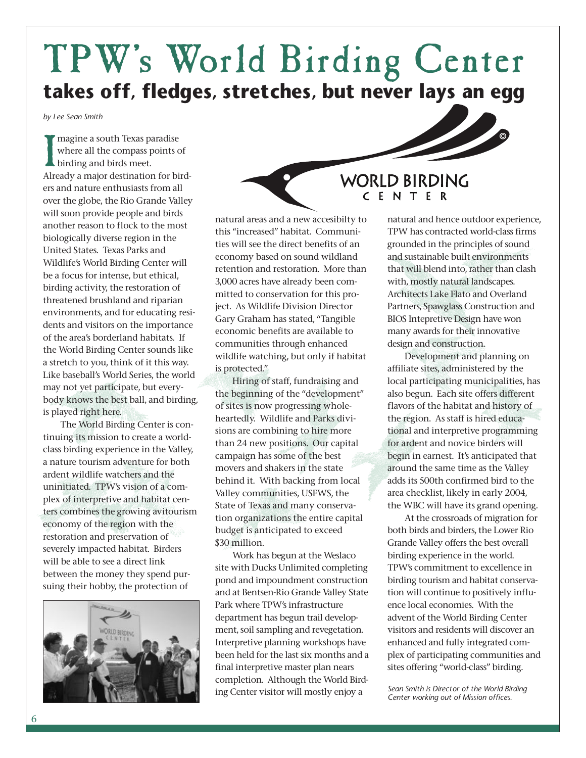## TPW's World Birding Center **takes off, fledges, stretches, but never lays an egg**

*by Lee Sean Smith*

Imagine a south Texas paradise<br>
where all the compass points of<br>
birding and birds meet.<br>
Already a major destination for birdmagine a south Texas paradise where all the compass points of birding and birds meet. ers and nature enthusiasts from all over the globe, the Rio Grande Valley will soon provide people and birds another reason to flock to the most biologically diverse region in the United States. Texas Parks and Wildlife's World Birding Center will be a focus for intense, but ethical, birding activity, the restoration of threatened brushland and riparian environments, and for educating residents and visitors on the importance of the area's borderland habitats. If the World Birding Center sounds like a stretch to you, think of it this way. Like baseball's World Series, the world may not yet participate, but everybody knows the best ball, and birding, is played right here.

The World Birding Center is continuing its mission to create a worldclass birding experience in the Valley, a nature tourism adventure for both ardent wildlife watchers and the uninitiated. TPW's vision of a complex of interpretive and habitat centers combines the growing avitourism economy of the region with the restoration and preservation of severely impacted habitat. Birders will be able to see a direct link between the money they spend pursuing their hobby, the protection of



natural areas and a new accesibilty to this "increased" habitat. Communities will see the direct benefits of an economy based on sound wildland retention and restoration. More than 3,000 acres have already been committed to conservation for this project. As Wildlife Division Director Gary Graham has stated, "Tangible economic benefits are available to communities through enhanced wildlife watching, but only if habitat is protected."

Hiring of staff, fundraising and the beginning of the "development" of sites is now progressing wholeheartedly. Wildlife and Parks divisions are combining to hire more than 24 new positions. Our capital campaign has some of the best movers and shakers in the state behind it. With backing from local Valley communities, USFWS, the State of Texas and many conservation organizations the entire capital budget is anticipated to exceed \$30 million.

Work has begun at the Weslaco site with Ducks Unlimited completing pond and impoundment construction and at Bentsen-Rio Grande Valley State Park where TPW's infrastructure department has begun trail development, soil sampling and revegetation. Interpretive planning workshops have been held for the last six months and a final interpretive master plan nears completion. Although the World Birding Center visitor will mostly enjoy a

#### **WORLD BIRDING** CENTER

natural and hence outdoor experience, TPW has contracted world-class firms grounded in the principles of sound and sustainable built environments that will blend into, rather than clash with, mostly natural landscapes. Architects Lake Flato and Overland Partners, Spawglass Construction and BIOS Intepretive Design have won many awards for their innovative design and construction.

Development and planning on affiliate sites, administered by the local participating municipalities, has also begun. Each site offers different flavors of the habitat and history of the region. As staff is hired educational and interpretive programming for ardent and novice birders will begin in earnest. It's anticipated that around the same time as the Valley adds its 500th confirmed bird to the area checklist, likely in early 2004, the WBC will have its grand opening.

At the crossroads of migration for both birds and birders, the Lower Rio Grande Valley offers the best overall birding experience in the world. TPW's commitment to excellence in birding tourism and habitat conservation will continue to positively influence local economies. With the advent of the World Birding Center visitors and residents will discover an enhanced and fully integrated complex of participating communities and sites offering "world-class" birding.

*Sean Smith is Director of the World Birding Center working out of Mission offices.*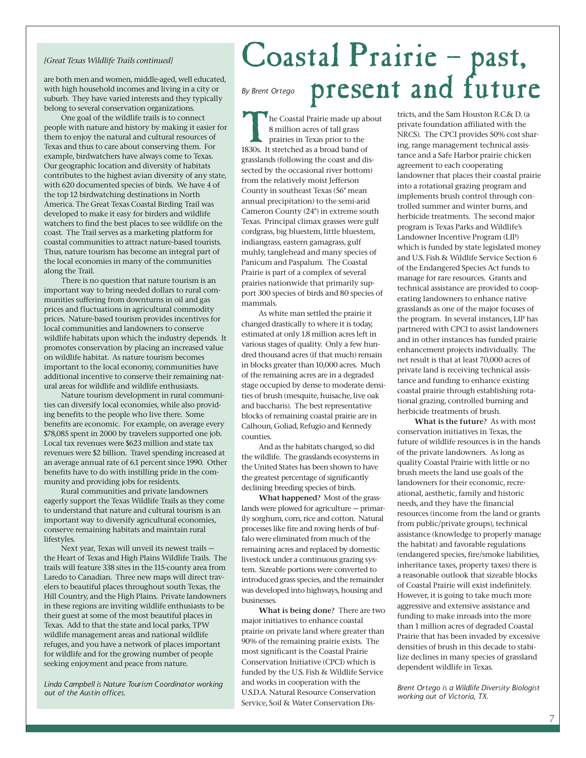#### *[Great Texas Wildlife Trails continued]*

are both men and women, middle-aged, well educated, with high household incomes and living in a city or suburb. They have varied interests and they typically belong to several conservation organizations.

One goal of the wildlife trails is to connect people with nature and history by making it easier for them to enjoy the natural and cultural resources of Texas and thus to care about conserving them. For example, birdwatchers have always come to Texas. Our geographic location and diversity of habitats contributes to the highest avian diversity of any state, with 620 documented species of birds. We have 4 of the top 12 birdwatching destinations in North America. The Great Texas Coastal Birding Trail was developed to make it easy for birders and wildlife watchers to find the best places to see wildlife on the coast. The Trail serves as a marketing platform for coastal communities to attract nature-based tourists. Thus, nature tourism has become an integral part of the local economies in many of the communities along the Trail.

There is no question that nature tourism is an important way to bring needed dollars to rural communities suffering from downturns in oil and gas prices and fluctuations in agricultural commodity prices. Nature-based tourism provides incentives for local communities and landowners to conserve wildlife habitats upon which the industry depends. It promotes conservation by placing an increased value on wildlife habitat. As nature tourism becomes important to the local economy, communities have additional incentive to conserve their remaining natural areas for wildlife and wildlife enthusiasts.

Nature tourism development in rural communities can diversify local economies, while also providing benefits to the people who live there. Some benefits are economic. For example, on average every \$78,085 spent in 2000 by travelers supported one job. Local tax revenues were \$623 million and state tax revenues were \$2 billion. Travel spending increased at an average annual rate of 6.1 percent since 1990. Other benefits have to do with instilling pride in the community and providing jobs for residents.

Rural communities and private landowners eagerly support the Texas Wildlife Trails as they come to understand that nature and cultural tourism is an important way to diversify agricultural economies, conserve remaining habitats and maintain rural lifestyles.

Next year, Texas will unveil its newest trails the Heart of Texas and High Plains Wildlife Trails. The trails will feature 338 sites in the 115-county area from Laredo to Canadian. Three new maps will direct travelers to beautiful places throughout south Texas, the Hill Country, and the High Plains. Private landowners in these regions are inviting wildlife enthusiasts to be their guest at some of the most beautiful places in Texas. Add to that the state and local parks, TPW wildlife management areas and national wildlife refuges, and you have a network of places important for wildlife and for the growing number of people seeking enjoyment and peace from nature.

*Linda Campbell is Nature Tourism Coordinator working out of the Austin offices.*

## Coastal Prairie – past,<br>By Brent Ortego present and future *By Brent Ortego*

The Coastal Prairie made up about 8 million acres of tall grass prairies in Texas prior to the 1830s. It stretched as a broad band of grasslands (following the coast and dissected by the occasional river bottom) from the relatively moist Jefferson County in southeast Texas (56" mean annual precipitation) to the semi-arid Cameron County (24") in extreme south Texas. Principal climax grasses were gulf cordgrass, big bluestem, little bluestem, indiangrass, eastern gamagrass, gulf muhly, tanglehead and many species of Panicum and Paspalum. The Coastal Prairie is part of a complex of several prairies nationwide that primarily support 300 species of birds and 80 species of mammals.

As white man settled the prairie it changed drastically to where it is today, estimated at only 1.8 million acres left in various stages of quality. Only a few hundred thousand acres (if that much) remain in blocks greater than 10,000 acres. Much of the remaining acres are in a degraded stage occupied by dense to moderate densities of brush (mesquite, huisache, live oak and baccharis). The best representative blocks of remaining coastal prairie are in Calhoun, Goliad, Refugio and Kennedy counties.

And as the habitats changed, so did the wildlife. The grasslands ecosystems in the United States has been shown to have the greatest percentage of significantly declining breeding species of birds.

**What happened**? Most of the grasslands were plowed for agriculture — primarily sorghum, corn, rice and cotton. Natural processes like fire and roving herds of buffalo were eliminated from much of the remaining acres and replaced by domestic livestock under a continuous grazing system. Sizeable portions were converted to introduced grass species, and the remainder was developed into highways, housing and businesses.

**What is being done**? There are two major initiatives to enhance coastal prairie on private land where greater than 90% of the remaining prairie exists. The most significant is the Coastal Prairie Conservation Initiative (CPCI) which is funded by the U.S. Fish & Wildlife Service and works in cooperation with the U.S.D.A. Natural Resource Conservation Service, Soil & Water Conservation Districts, and the Sam Houston R.C.& D. (a private foundation affiliated with the NRCS). The CPCI provides 50% cost sharing, range management technical assistance and a Safe Harbor prairie chicken agreement to each cooperating landowner that places their coastal prairie into a rotational grazing program and implements brush control through controlled summer and winter burns, and herbicide treatments. The second major program is Texas Parks and Wildlife's Landowner Incentive Program (LIP) which is funded by state legislated money and U.S. Fish & Wildlife Service Section 6 of the Endangered Species Act funds to manage for rare resources. Grants and technical assistance are provided to cooperating landowners to enhance native grasslands as one of the major focuses of the program. In several instances, LIP has partnered with CPCI to assist landowners and in other instances has funded prairie enhancement projects individually. The net result is that at least 70,000 acres of private land is receiving technical assistance and funding to enhance existing coastal prairie through establishing rotational grazing, controlled burning and herbicide treatments of brush.

**What is the future**? As with most conservation initiatives in Texas, the future of wildlife resources is in the hands of the private landowners. As long as quality Coastal Prairie with little or no brush meets the land use goals of the landowners for their economic, recreational, aesthetic, family and historic needs, and they have the financial resources (income from the land or grants from public/private groups), technical assistance (knowledge to properly manage the habitat) and favorable regulations (endangered species, fire/smoke liabilities, inheritance taxes, property taxes) there is a reasonable outlook that sizeable blocks of Coastal Prairie will exist indefinitely. However, it is going to take much more aggressive and extensive assistance and funding to make inroads into the more than 1 million acres of degraded Coastal Prairie that has been invaded by excessive densities of brush in this decade to stabilize declines in many species of grassland dependent wildlife in Texas.

*Brent Ortego is a Wildlife Diversity Biologist working out of Victoria, TX.*